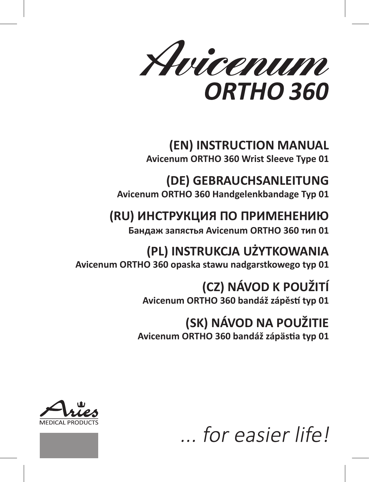Avicenum ORTHO 360

# **(EN) INSTRUCTION MANUAL Avicenum ORTHO 360 Wrist Sleeve Type 01**

# **(DE) GEBRAUCHSANLEITUNG Avicenum ORTHO 360 Handgelenkbandage Typ 01**

# **(RU) ИНСТРУКЦИЯ ПО ПРИМЕНЕНИЮ**

**Бандаж запястья Avicenum ORTHO 360 тип 01**

# **(PL) INSTRUKCJA UŻYTKOWANIA Avicenum ORTHO 360 opaska stawu nadgarstkowego typ 01**

# **(CZ) NÁVOD K POUŽITÍ Avicenum ORTHO 360 bandáž zápěstí typ 01**

# **(SK) NÁVOD NA POUŽITIE**

**Avicenum ORTHO 360 bandáž zápästia typ 01**





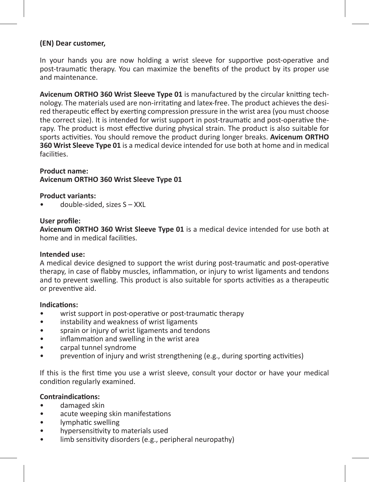#### **(EN) Dear customer,**

In your hands you are now holding a wrist sleeve for supportive post-operative and post-traumatic therapy. You can maximize the benefits of the product by its proper use and maintenance.

**Avicenum ORTHO 360 Wrist Sleeve Type 01** is manufactured by the circular knitting technology. The materials used are non-irritating and latex-free. The product achieves the desired therapeutic effect by exerting compression pressure in the wrist area (you must choose the correct size). It is intended for wrist support in post-traumatic and post-operative therapy. The product is most effective during physical strain. The product is also suitable for sports activities. You should remove the product during longer breaks. **Avicenum ORTHO 360 Wrist Sleeve Type 01** is a medical device intended for use both at home and in medical facilities.

# **Product name: Avicenum ORTHO 360 Wrist Sleeve Type 01**

#### **Product variants:**

• double-sided, sizes S – XXL

#### **User profile:**

**Avicenum ORTHO 360 Wrist Sleeve Type 01** is a medical device intended for use both at home and in medical facilities.

#### **Intended use:**

A medical device designed to support the wrist during post-traumatic and post-operative therapy, in case of flabby muscles, inflammation, or injury to wrist ligaments and tendons and to prevent swelling. This product is also suitable for sports activities as a therapeutic or preventive aid.

#### **Indications:**

- wrist support in post-operative or post-traumatic therapy
- instability and weakness of wrist ligaments
- sprain or injury of wrist ligaments and tendons
- inflammation and swelling in the wrist area
- carpal tunnel syndrome
- prevention of injury and wrist strengthening (e.g., during sporting activities)

If this is the first time you use a wrist sleeve, consult your doctor or have your medical condition regularly examined.

#### **Contraindications:**

- damaged skin
- acute weeping skin manifestations
- lymphatic swelling
- hypersensitivity to materials used
- limb sensitivity disorders (e.g., peripheral neuropathy)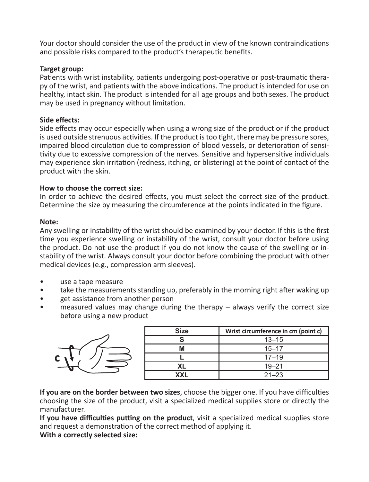Your doctor should consider the use of the product in view of the known contraindications and possible risks compared to the product's therapeutic benefits.

# **Target group:**

Patients with wrist instability, patients undergoing post-operative or post-traumatic therapy of the wrist, and patients with the above indications. The product is intended for use on healthy, intact skin. The product is intended for all age groups and both sexes. The product may be used in pregnancy without limitation.

# **Side effects:**

Side effects may occur especially when using a wrong size of the product or if the product is used outside strenuous activities. If the product is too tight, there may be pressure sores, impaired blood circulation due to compression of blood vessels, or deterioration of sensitivity due to excessive compression of the nerves. Sensitive and hypersensitive individuals may experience skin irritation (redness, itching, or blistering) at the point of contact of the product with the skin.

### **How to choose the correct size:**

In order to achieve the desired effects, you must select the correct size of the product. Determine the size by measuring the circumference at the points indicated in the figure.

#### **Note:**

Any swelling or instability of the wrist should be examined by your doctor. If this is the first time you experience swelling or instability of the wrist, consult your doctor before using the product. Do not use the product if you do not know the cause of the swelling or instability of the wrist. Always consult your doctor before combining the product with other medical devices (e.g., compression arm sleeves).

- use a tape measure
- take the measurements standing up, preferably in the morning right after waking up
- get assistance from another person
- $m$  measured values may change during the therapy  $-$  always verify the correct size before using a new product



| Size | Wrist circumference in cm (point c) |
|------|-------------------------------------|
|      | $13 - 15$                           |
| М    | $15 - 17$                           |
|      | $17 - 19$                           |
| XL   | $19 - 21$                           |
| XXL  | $21 - 23$                           |

**If you are on the border between two sizes**, choose the bigger one. If you have difficulties choosing the size of the product, visit a specialized medical supplies store or directly the manufacturer.

**If you have difficulties putting on the product**, visit a specialized medical supplies store and request a demonstration of the correct method of applying it.

**With a correctly selected size:**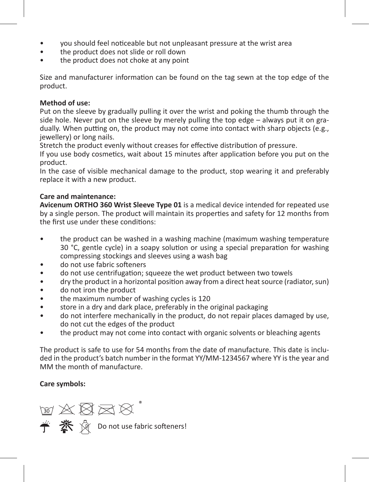- you should feel noticeable but not unpleasant pressure at the wrist area
- the product does not slide or roll down
- the product does not choke at any point

Size and manufacturer information can be found on the tag sewn at the top edge of the product.

#### **Method of use:**

Put on the sleeve by gradually pulling it over the wrist and poking the thumb through the side hole. Never put on the sleeve by merely pulling the top edge – always put it on gradually. When putting on, the product may not come into contact with sharp objects (e.g., jewellery) or long nails.

Stretch the product evenly without creases for effective distribution of pressure.

If you use body cosmetics, wait about 15 minutes after application before you put on the product.

In the case of visible mechanical damage to the product, stop wearing it and preferably replace it with a new product.

# **Care and maintenance:**

**Avicenum ORTHO 360 Wrist Sleeve Type 01** is a medical device intended for repeated use by a single person. The product will maintain its properties and safety for 12 months from the first use under these conditions:

- the product can be washed in a washing machine (maximum washing temperature 30 °C, gentle cycle) in a soapy solution or using a special preparation for washing compressing stockings and sleeves using a wash bag
- do not use fabric softeners
- do not use centrifugation; squeeze the wet product between two towels
- dry the product in a horizontal position away from a direct heat source (radiator, sun)
- do not iron the product
- the maximum number of washing cycles is 120
- store in a dry and dark place, preferably in the original packaging
- do not interfere mechanically in the product, do not repair places damaged by use, do not cut the edges of the product
- the product may not come into contact with organic solvents or bleaching agents

The product is safe to use for 54 months from the date of manufacture. This date is included in the product's batch number in the format YY/MM-1234567 where YY is the year and MM the month of manufacture.

# **Care symbols:**

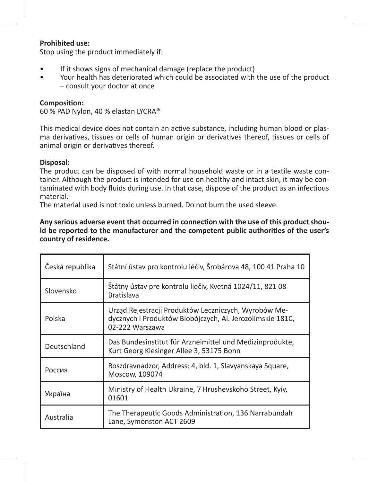#### **Prohibited use:**

Stop using the product immediately if:

- If it shows signs of mechanical damage (replace the product)
- Your health has deteriorated which could be associated with the use of the product – consult your doctor at once

#### **Composition:**

60 % PAD Nylon, 40 % elastan LYCRA®

This medical device does not contain an active substance, including human blood or plasma derivatives, tissues or cells of human origin or derivatives thereof, tissues or cells of animal origin or derivatives thereof.

### **Disposal:**

The product can be disposed of with normal household waste or in a textile waste container. Although the product is intended for use on healthy and intact skin, it may be contaminated with body fluids during use. In that case, dispose of the product as an infectious material.

The material used is not toxic unless burned. Do not burn the used sleeve.

#### **Any serious adverse event that occurred in connection with the use of this product should be reported to the manufacturer and the competent public authorities of the user's country of residence.**

| Česká republika | Státní ústav pro kontrolu léčiv, Šrobárova 48, 100 41 Praha 10                                                                       |
|-----------------|--------------------------------------------------------------------------------------------------------------------------------------|
| Slovensko       | Štátny ústav pre kontrolu liečiv, Kvetná 1024/11, 821 08<br><b>Bratislava</b>                                                        |
| Polska          | Urząd Rejestracji Produktów Leczniczych, Wyrobów Me-<br>dycznych i Produktów Biobójczych, Al. Jerozolimskie 181C,<br>02-222 Warszawa |
| Deutschland     | Das Bundesinstitut für Arzneimittel und Medizinprodukte,<br>Kurt Georg Kiesinger Allee 3, 53175 Bonn                                 |
| Россия          | Roszdravnadzor, Address: 4, bld. 1, Slavyanskaya Square,<br>Moscow, 109074                                                           |
| Україна         | Ministry of Health Ukraine, 7 Hrushevskoho Street, Kyiv,<br>01601                                                                    |
| Australia       | The Therapeutic Goods Administration, 136 Narrabundah<br>Lane, Symonston ACT 2609                                                    |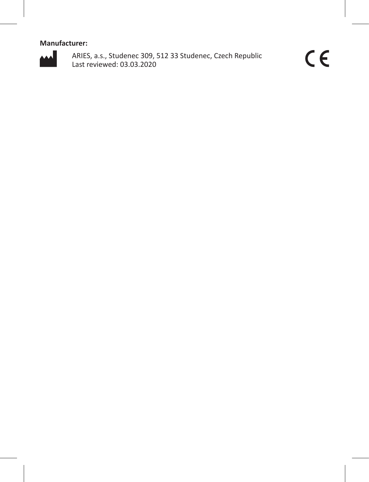# **Manufacturer:**



ARIES, a.s., Studenec 309, 512 33 Studenec, Czech Republic Last reviewed: 03.03.2020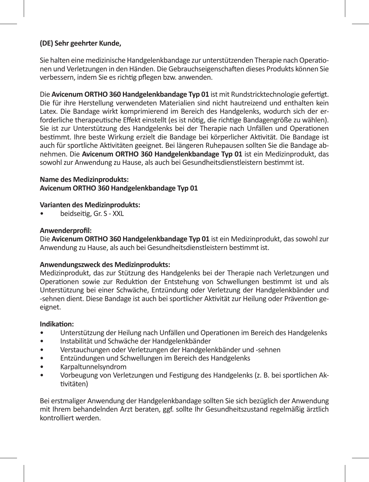# **(DE) Sehr geehrter Kunde,**

Sie halten eine medizinische Handgelenkbandage zur unterstützenden Therapie nach Operationen und Verletzungen in den Händen. Die Gebrauchseigenschaften dieses Produkts können Sie verbessern, indem Sie es richtig pflegen bzw. anwenden.

Die **Avicenum ORTHO 360 Handgelenkbandage Typ 01** ist mit Rundstricktechnologie gefertigt. Die für ihre Herstellung verwendeten Materialien sind nicht hautreizend und enthalten kein Latex. Die Bandage wirkt komprimierend im Bereich des Handgelenks, wodurch sich der erforderliche therapeutische Effekt einstellt (es ist nötig, die richtige Bandagengröße zu wählen). Sie ist zur Unterstützung des Handgelenks bei der Therapie nach Unfällen und Operationen bestimmt. Ihre beste Wirkung erzielt die Bandage bei körperlicher Aktivität. Die Bandage ist auch für sportliche Aktivitäten geeignet. Bei längeren Ruhepausen sollten Sie die Bandage abnehmen. Die **Avicenum ORTHO 360 Handgelenkbandage Typ 01** ist ein Medizinprodukt, das sowohl zur Anwendung zu Hause, als auch bei Gesundheitsdienstleistern bestimmt ist.

#### **Name des Medizinprodukts:**

**Avicenum ORTHO 360 Handgelenkbandage Typ 01**

#### **Varianten des Medizinprodukts:**

• beidseitig, Gr. S - XXL

#### **Anwenderprofil:**

Die **Avicenum ORTHO 360 Handgelenkbandage Typ 01** ist ein Medizinprodukt, das sowohl zur Anwendung zu Hause, als auch bei Gesundheitsdienstleistern bestimmt ist.

#### **Anwendungszweck des Medizinprodukts:**

Medizinprodukt, das zur Stützung des Handgelenks bei der Therapie nach Verletzungen und Operationen sowie zur Reduktion der Entstehung von Schwellungen bestimmt ist und als Unterstützung bei einer Schwäche, Entzündung oder Verletzung der Handgelenkbänder und -sehnen dient. Diese Bandage ist auch bei sportlicher Aktivität zur Heilung oder Prävention geeignet.

#### **Indikation:**

- Unterstützung der Heilung nach Unfällen und Operationen im Bereich des Handgelenks
- Instabilität und Schwäche der Handgelenkbänder
- Verstauchungen oder Verletzungen der Handgelenkbänder und -sehnen
- Entzündungen und Schwellungen im Bereich des Handgelenks
- Karpaltunnelsyndrom
- Vorbeugung von Verletzungen und Festigung des Handgelenks (z. B. bei sportlichen Aktivitäten)

Bei erstmaliger Anwendung der Handgelenkbandage sollten Sie sich bezüglich der Anwendung mit Ihrem behandelnden Arzt beraten, ggf. sollte Ihr Gesundheitszustand regelmäßig ärztlich kontrolliert werden.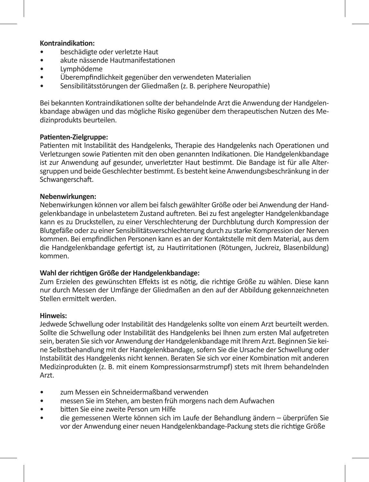#### **Kontraindikation:**

- beschädigte oder verletzte Haut
- akute nässende Hautmanifestationen
- Lymphödeme
- Überempfindlichkeit gegenüber den verwendeten Materialien
- Sensibilitätsstörungen der Gliedmaßen (z. B. periphere Neuropathie)

Bei bekannten Kontraindikationen sollte der behandelnde Arzt die Anwendung der Handgelenkbandage abwägen und das mögliche Risiko gegenüber dem therapeutischen Nutzen des Medizinprodukts beurteilen.

#### **Patienten-Zielgruppe:**

Patienten mit Instabilität des Handgelenks, Therapie des Handgelenks nach Operationen und Verletzungen sowie Patienten mit den oben genannten Indikationen. Die Handgelenkbandage ist zur Anwendung auf gesunder, unverletzter Haut bestimmt. Die Bandage ist für alle Altersgruppen und beide Geschlechter bestimmt. Es besteht keine Anwendungsbeschränkung in der Schwangerschaft.

#### **Nebenwirkungen:**

Nebenwirkungen können vor allem bei falsch gewählter Größe oder bei Anwendung der Handgelenkbandage in unbelastetem Zustand auftreten. Bei zu fest angelegter Handgelenkbandage kann es zu Druckstellen, zu einer Verschlechterung der Durchblutung durch Kompression der Blutgefäße oder zu einer Sensibilitätsverschlechterung durch zu starke Kompression der Nerven kommen. Bei empfindlichen Personen kann es an der Kontaktstelle mit dem Material, aus dem die Handgelenkbandage gefertigt ist, zu Hautirritationen (Rötungen, Juckreiz, Blasenbildung) kommen.

#### **Wahl der richtigen Größe der Handgelenkbandage:**

Zum Erzielen des gewünschten Effekts ist es nötig, die richtige Größe zu wählen. Diese kann nur durch Messen der Umfänge der Gliedmaßen an den auf der Abbildung gekennzeichneten Stellen ermittelt werden.

#### **Hinweis:**

Jedwede Schwellung oder Instabilität des Handgelenks sollte von einem Arzt beurteilt werden. Sollte die Schwellung oder Instabilität des Handgelenks bei Ihnen zum ersten Mal aufgetreten sein, beraten Sie sich vor Anwendung der Handgelenkbandage mit Ihrem Arzt. Beginnen Sie keine Selbstbehandlung mit der Handgelenkbandage, sofern Sie die Ursache der Schwellung oder Instabilität des Handgelenks nicht kennen. Beraten Sie sich vor einer Kombination mit anderen Medizinprodukten (z. B. mit einem Kompressionsarmstrumpf) stets mit Ihrem behandelnden Arzt.

- zum Messen ein Schneidermaßband verwenden
- messen Sie im Stehen, am besten früh morgens nach dem Aufwachen
- bitten Sie eine zweite Person um Hilfe
- die gemessenen Werte können sich im Laufe der Behandlung ändern überprüfen Sie vor der Anwendung einer neuen Handgelenkbandage-Packung stets die richtige Größe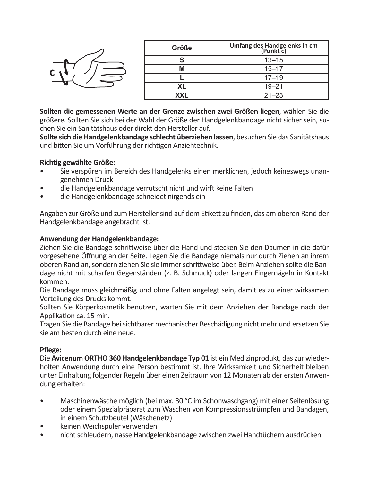|  | Größe | Umfang des Handgelenks in cm<br>(Punkt c) |
|--|-------|-------------------------------------------|
|  |       | $13 - 15$                                 |
|  |       | $15 - 17$                                 |
|  |       | $17 - 19$                                 |
|  | XL.   | $19 - 21$                                 |
|  | XXL   | $21 - 23$                                 |

**Sollten die gemessenen Werte an der Grenze zwischen zwei Größen liegen**, wählen Sie die größere. Sollten Sie sich bei der Wahl der Größe der Handgelenkbandage nicht sicher sein, suchen Sie ein Sanitätshaus oder direkt den Hersteller auf.

**Sollte sich die Handgelenkbandage schlecht überziehen lassen**, besuchen Sie das Sanitätshaus und bitten Sie um Vorführung der richtigen Anziehtechnik.

#### **Richtig gewählte Größe:**

**c**

- Sie verspüren im Bereich des Handgelenks einen merklichen, jedoch keineswegs unangenehmen Druck
- die Handgelenkbandage verrutscht nicht und wirft keine Falten
- die Handgelenkbandage schneidet nirgends ein

Angaben zur Größe und zum Hersteller sind auf dem Etikett zu finden, das am oberen Rand der Handgelenkbandage angebracht ist.

# **Anwendung der Handgelenkbandage:**

Ziehen Sie die Bandage schrittweise über die Hand und stecken Sie den Daumen in die dafür vorgesehene Öffnung an der Seite. Legen Sie die Bandage niemals nur durch Ziehen an ihrem oberen Rand an, sondern ziehen Sie sie immer schrittweise über. Beim Anziehen sollte die Bandage nicht mit scharfen Gegenständen (z. B. Schmuck) oder langen Fingernägeln in Kontakt kommen.

Die Bandage muss gleichmäßig und ohne Falten angelegt sein, damit es zu einer wirksamen Verteilung des Drucks kommt.

Sollten Sie Körperkosmetik benutzen, warten Sie mit dem Anziehen der Bandage nach der Applikation ca. 15 min.

Tragen Sie die Bandage bei sichtbarer mechanischer Beschädigung nicht mehr und ersetzen Sie sie am besten durch eine neue.

# **Pflege:**

Die **Avicenum ORTHO 360 Handgelenkbandage Typ 01** ist ein Medizinprodukt, das zur wiederholten Anwendung durch eine Person bestimmt ist. Ihre Wirksamkeit und Sicherheit bleiben unter Einhaltung folgender Regeln über einen Zeitraum von 12 Monaten ab der ersten Anwendung erhalten:

- Maschinenwäsche möglich (bei max. 30 °C im Schonwaschgang) mit einer Seifenlösung oder einem Spezialpräparat zum Waschen von Kompressionsstrümpfen und Bandagen, in einem Schutzbeutel (Wäschenetz)
- keinen Weichspüler verwenden
- nicht schleudern, nasse Handgelenkbandage zwischen zwei Handtüchern ausdrücken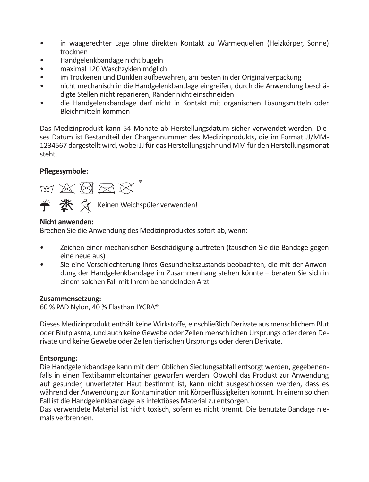- in waagerechter Lage ohne direkten Kontakt zu Wärmequellen (Heizkörper, Sonne) trocknen
- Handgelenkbandage nicht bügeln
- maximal 120 Waschzyklen möglich
- im Trockenen und Dunklen aufbewahren, am besten in der Originalverpackung
- nicht mechanisch in die Handgelenkbandage eingreifen, durch die Anwendung beschädigte Stellen nicht reparieren, Ränder nicht einschneiden
- die Handgelenkbandage darf nicht in Kontakt mit organischen Lösungsmitteln oder Bleichmitteln kommen

Das Medizinprodukt kann 54 Monate ab Herstellungsdatum sicher verwendet werden. Dieses Datum ist Bestandteil der Chargennummer des Medizinprodukts, die im Format JJ/MM-1234567 dargestellt wird, wobei JJ für das Herstellungsjahr und MM für den Herstellungsmonat steht.

# **Pflegesymbole:**



**<del>≮</del> ※** ☆ Keinen Weichspüler verwenden!

# **Nicht anwenden:**

Brechen Sie die Anwendung des Medizinproduktes sofort ab, wenn:

- Zeichen einer mechanischen Beschädigung auftreten (tauschen Sie die Bandage gegen eine neue aus)
- Sie eine Verschlechterung Ihres Gesundheitszustands beobachten, die mit der Anwendung der Handgelenkbandage im Zusammenhang stehen könnte – beraten Sie sich in einem solchen Fall mit Ihrem behandelnden Arzt

# **Zusammensetzung:**

60 % PAD Nylon, 40 % Elasthan LYCRA®

Dieses Medizinprodukt enthält keine Wirkstoffe, einschließlich Derivate aus menschlichem Blut oder Blutplasma, und auch keine Gewebe oder Zellen menschlichen Ursprungs oder deren Derivate und keine Gewebe oder Zellen tierischen Ursprungs oder deren Derivate.

# **Entsorgung:**

Die Handgelenkbandage kann mit dem üblichen Siedlungsabfall entsorgt werden, gegebenenfalls in einen Textilsammelcontainer geworfen werden. Obwohl das Produkt zur Anwendung auf gesunder, unverletzter Haut bestimmt ist, kann nicht ausgeschlossen werden, dass es während der Anwendung zur Kontamination mit Körperflüssigkeiten kommt. In einem solchen Fall ist die Handgelenkbandage als infektiöses Material zu entsorgen.

Das verwendete Material ist nicht toxisch, sofern es nicht brennt. Die benutzte Bandage niemals verbrennen.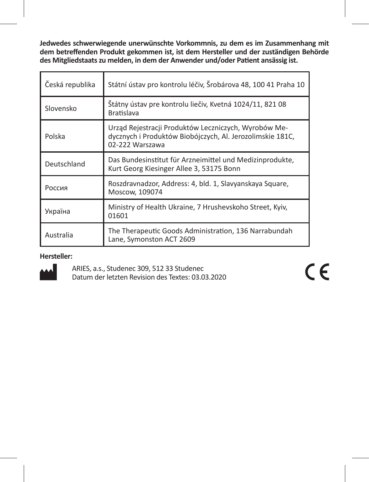**Jedwedes schwerwiegende unerwünschte Vorkommnis, zu dem es im Zusammenhang mit dem betreffenden Produkt gekommen ist, ist dem Hersteller und der zuständigen Behörde des Mitgliedstaats zu melden, in dem der Anwender und/oder Patient ansässig ist.** 

| Česká republika | Státní ústav pro kontrolu léčiv, Šrobárova 48, 100 41 Praha 10                                                                       |
|-----------------|--------------------------------------------------------------------------------------------------------------------------------------|
| Slovensko       | Štátny ústav pre kontrolu liečiv, Kvetná 1024/11, 821 08<br><b>Bratislava</b>                                                        |
| Polska          | Urząd Rejestracji Produktów Leczniczych, Wyrobów Me-<br>dycznych i Produktów Biobójczych, Al. Jerozolimskie 181C,<br>02-222 Warszawa |
| Deutschland     | Das Bundesinstitut für Arzneimittel und Medizinprodukte,<br>Kurt Georg Kiesinger Allee 3, 53175 Bonn                                 |
| Россия          | Roszdravnadzor, Address: 4, bld. 1, Slavyanskaya Square,<br>Moscow, 109074                                                           |
| Україна         | Ministry of Health Ukraine, 7 Hrushevskoho Street, Kyiv,<br>01601                                                                    |
| Australia       | The Therapeutic Goods Administration, 136 Narrabundah<br>Lane, Symonston ACT 2609                                                    |

# **Hersteller:**



ARIES, a.s., Studenec 309, 512 33 Studenec Datum der letzten Revision des Textes: 03.03.2020  $C\epsilon$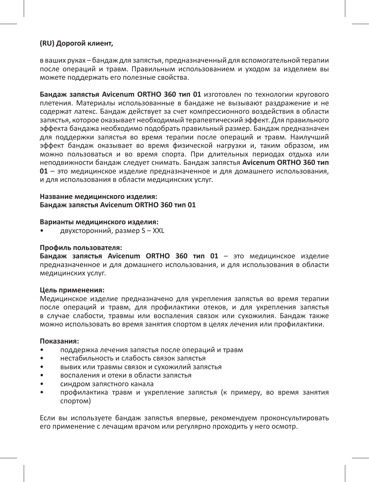#### **(RU) Дорогой клиент,**

в ваших руках – бандаж для запястья, предназначенный для вспомогательной терапии после операций и травм. Правильным использованием и уходом за изделием вы можете поддержать его полезные свойства.

**Бандаж запястья Avicenum ORTHO 360 тип 01** изготовлен по технологии кругового плетения. Материалы использованные в бандаже не вызывают раздражение и не содержат латекс. Бандаж действует за счет компрессионного воздействия в области запястья, которое оказывает необходимый терапевтический эффект. Для правильного эффекта бандажа необходимо подобрать правильный размер. Бандаж предназначен для поддержки запястья во время терапии после операций и травм. Наилучший эффект бандаж оказывает во время физической нагрузки и, таким образом, им можно пользоваться и во время спорта. При длительных периодах отдыха или неподвижности бандаж следует снимать. Бандаж запястья **Avicenum ORTHO 360 тип 01** – это медицинское изделие предназначенное и для домашнего использования, и для использования в области медицинских услуг.

#### **Название медицинского изделия: Бандаж запястья Avicenum ORTHO 360 тип 01**

#### **Варианты медицинского изделия:**

• двухсторонний, размер S – XXL

#### **Профиль пользователя:**

**Бандаж запястья Avicenum ORTHO 360 тип 01** – это медицинское изделие предназначенное и для домашнего использования, и для использования в области медицинских услуг.

#### **Цель применения:**

Медицинское изделие предназначено для укрепления запястья во время терапии после операций и травм, для профилактики отеков, и для укрепления запястья в случае слабости, травмы или воспаления связок или сухожилия. Бандаж также можно использовать во время занятия спортом в целях лечения или профилактики.

#### **Показания:**

- поддержка лечения запястья после операций и травм
- нестабильность и слабость связок запястья
- вывих или травмы связок и сухожилий запястья
- воспаления и отеки в области запястья
- синдром запястного канала
- профилактика травм и укрепление запястья (к примеру, во время занятия спортом)

Если вы используете бандаж запястья впервые, рекомендуем проконсультировать его применение с лечащим врачом или регулярно проходить у него осмотр.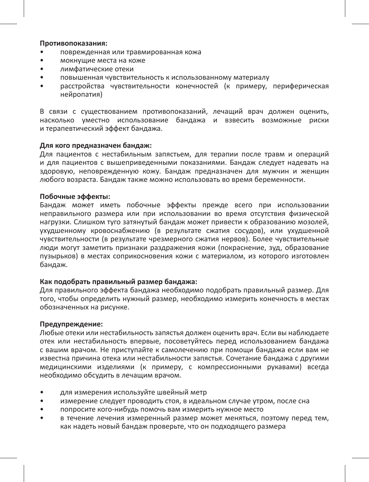#### **Противопоказания:**

- поврежденная или травмированная кожа
- мокнущие места на коже
- лимфатические отеки
- повышенная чувствительность к использованному материалу
- расстройства чувствительности конечностей (к примеру, периферическая нейропатия)

В связи с существованием противопоказаний, лечащий врач должен оценить, насколько уместно использование бандажа и взвесить возможные риски и терапевтический эффект бандажа.

#### **Для кого предназначен бандаж:**

Для пациентов с нестабильным запястьем, для терапии после травм и операций и для пациентов с вышеприведенными показаниями. Бандаж следует надевать на здоровую, неповрежденную кожу. Бандаж предназначен для мужчин и женщин любого возраста. Бандаж также можно использовать во время беременности.

#### **Побочные эффекты:**

Бандаж может иметь побочные эффекты прежде всего при использовании неправильного размера или при использовании во время отсутствия физической нагрузки. Слишком туго затянутый бандаж может привести к образованию мозолей, ухудшенному кровоснабжению (в результате сжатия сосудов), или ухудшенной чувствительности (в результате чрезмерного сжатия нервов). Более чувствительные люди могут заметить признаки раздражения кожи (покраснение, зуд, образование пузырьков) в местах соприкосновения кожи с материалом, из которого изготовлен бандаж.

#### **Как подобрать правильный размер бандажа:**

Для правильного эффекта бандажа необходимо подобрать правильный размер. Для того, чтобы определить нужный размер, необходимо измерить конечность в местах обозначенных на рисунке.

#### **Предупреждение:**

Любые отеки или нестабильность запястья должен оценить врач. Если вы наблюдаете отек или нестабильность впервые, посоветуйтесь перед использованием бандажа с вашим врачом. Не приступайте к самолечению при помощи бандажа если вам не известна причина отека или нестабильности запястья. Сочетание бандажа с другими медицинскими изделиями (к примеру, с компрессионными рукавами) всегда необходимо обсудить в лечащим врачом.

- для измерения используйте швейный метр
- измерение следует проводить стоя, в идеальном случае утром, после сна
- попросите кого-нибудь помочь вам измерить нужное место
- в течение лечения измеренный размер может меняться, поэтому перед тем, как надеть новый бандаж проверьте, что он подходящего размера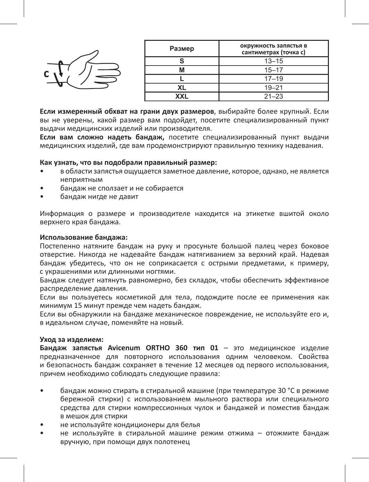

| Размер     | окружность запястья в<br>сантиметрах (точка с) |
|------------|------------------------------------------------|
|            | $13 - 15$                                      |
| М          | $15 - 17$                                      |
|            | $17 - 19$                                      |
| ΧI         | $19 - 21$                                      |
| <b>XXL</b> | $21 - 23$                                      |

**Если измеренный обхват на грани двух размеров**, выбирайте более крупный. Если вы не уверены, какой размер вам подойдет, посетите специализированный пункт выдачи медицинских изделий или производителя.

**Если вам сложно надеть бандаж,** посетите специализированный пункт выдачи медицинских изделий, где вам продемонстрируют правильную технику надевания.

#### **Как узнать, что вы подобрали правильный размер:**

- в области запястья ощущается заметное давление, которое, однако, не является неприятным
- бандаж не сползает и не собирается
- бандаж нигде не давит

Информация о размере и производителе находится на этикетке вшитой около верхнего края бандажа.

#### **Использование бандажа:**

Постепенно натяните бандаж на руку и просуньте большой палец через боковое отверстие. Никогда не надевайте бандаж натягиванием за верхний край. Надевая бандаж убедитесь, что он не соприкасается с острыми предметами, к примеру, с украшениями или длинными ногтями.

Бандаж следует натянуть равномерно, без складок, чтобы обеспечить эффективное распределение давления.

Если вы пользуетесь косметикой для тела, подождите после ее применения как минимум 15 минут прежде чем надеть бандаж.

Если вы обнаружили на бандаже механическое повреждение, не используйте его и, в идеальном случае, поменяйте на новый.

#### **Уход за изделием:**

**Бандаж запястья Avicenum ORTHO 360 тип 01** – это медицинское изделие предназначенное для повторного использования одним человеком. Свойства и безопасность бандаж сохраняет в течение 12 месяцев од первого использования, причем необходимо соблюдать следующие правила:

- бандаж можно стирать в стиральной машине (при температуре 30 °C в режиме бережной стирки) с использованием мыльного раствора или специального средства для стирки компрессионных чулок и бандажей и поместив бандаж в мешок для стирки
- не используйте кондиционеры для белья
- не используйте в стиральной машине режим отжима отожмите бандаж вручную, при помощи двух полотенец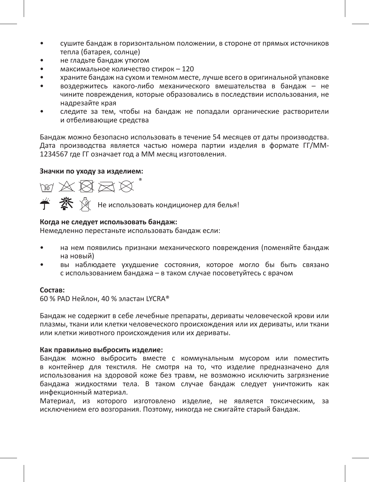- сушите бандаж в горизонтальном положении, в стороне от прямых источников тепла (батарея, солнце)
- не гладьте бандаж утюгом
- максимальное количество стирок 120
- храните бандаж на сухом и темном месте, лучше всего в оригинальной упаковке
- воздержитесь какого-либо механического вмешательства в бандаж не чините повреждения, которые образовались в последствии использования, не надрезайте края
- следите за тем, чтобы на бандаж не попадали органические растворители и отбеливающие средства

Бандаж можно безопасно использовать в течение 54 месяцев от даты производства. Дата производства является частью номера партии изделия в формате ГГ/ММ-1234567 где ГГ означает год а ММ месяц изготовления.

#### **Значки по уходу за изделием:**



 $\hat{+}$   $\hat{\mathbf{x}}$   $\hat{\mathbf{y}}$  не использовать кондиционер для белья!

#### **Когда не следует использовать бандаж:**

Немедленно перестаньте использовать бандаж если:

- на нем появились признаки механического повреждения (поменяйте бандаж на новый)
- вы наблюдаете ухудшение состояния, которое могло бы быть связано с использованием бандажа – в таком случае посоветуйтесь с врачом

#### **Состав:**

60 % PAD Нейлон, 40 % эластан LYCRA®

Бандаж не содержит в себе лечебные препараты, дериваты человеческой крови или плазмы, ткани или клетки человеческого происхождения или их дериваты, или ткани или клетки животного происхождения или их дериваты.

#### **Как правильно выбросить изделие:**

Бандаж можно выбросить вместе с коммунальным мусором или поместить в контейнер для текстиля. Не смотря на то, что изделие предназначено для использования на здоровой коже без травм, не возможно исключить загрязнение бандажа жидкостями тела. В таком случае бандаж следует уничтожить как инфекционный материал.

Материал, из которого изготовлено изделие, не является токсическим, за исключением его возгорания. Поэтому, никогда не сжигайте старый бандаж.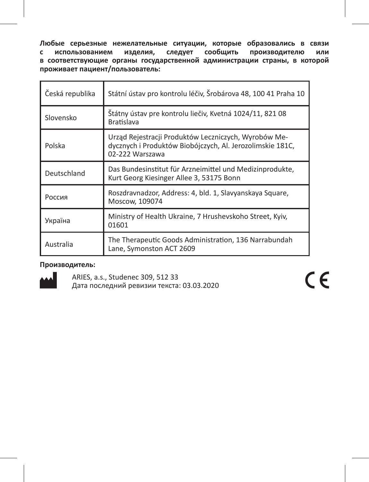**Любые серьезные нежелательные ситуации, которые образовались в связи с использованием изделия, следует сообщить производителю или в соответствующие органы государственной администрации страны, в которой проживает пациент/пользователь:** 

| Česká republika | Státní ústav pro kontrolu léčiv, Šrobárova 48, 100 41 Praha 10                                                                       |
|-----------------|--------------------------------------------------------------------------------------------------------------------------------------|
| Slovensko       | Štátny ústav pre kontrolu liečiv, Kvetná 1024/11, 821 08<br><b>Bratislava</b>                                                        |
| Polska          | Urząd Rejestracji Produktów Leczniczych, Wyrobów Me-<br>dycznych i Produktów Biobójczych, Al. Jerozolimskie 181C,<br>02-222 Warszawa |
| Deutschland     | Das Bundesinstitut für Arzneimittel und Medizinprodukte,<br>Kurt Georg Kiesinger Allee 3, 53175 Bonn                                 |
| Россия          | Roszdravnadzor, Address: 4, bld. 1, Slavyanskaya Square,<br>Moscow, 109074                                                           |
| Україна         | Ministry of Health Ukraine, 7 Hrushevskoho Street, Kyiv,<br>01601                                                                    |
| Australia       | The Therapeutic Goods Administration, 136 Narrabundah<br>Lane, Symonston ACT 2609                                                    |

# **Производитель:**



ARIES, a.s., Studenec 309, 512 33 Дата последний ревизии текста: 03.03.2020  $C \in$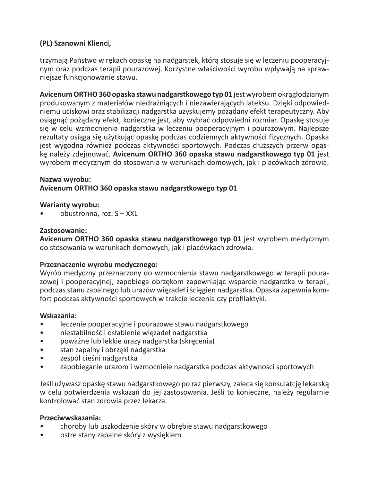# **(PL) Szanowni Klienci,**

trzymają Państwo w rękach opaskę na nadgarstek, którą stosuje się w leczeniu pooperacyjnym oraz podczas terapii pourazowej. Korzystne właściwości wyrobu wpływają na sprawniejsze funkcjonowanie stawu.

**Avicenum ORTHO 360 opaska stawu nadgarstkowego typ 01** jest wyrobem okrągłodzianym produkowanym z materiałów niedrażniących i niezawierających lateksu. Dzięki odpowiedniemu uciskowi oraz stabilizacji nadgarstka uzyskujemy pożądany efekt terapeutyczny. Aby osiągnąć pożądany efekt, konieczne jest, aby wybrać odpowiedni rozmiar. Opaskę stosuje się w celu wzmocnienia nadgarstka w leczeniu pooperacyjnym i pourazowym. Najlepsze rezultaty osiąga się użytkując opaskę podczas codziennych aktywności fizycznych. Opaska jest wygodna również podczas aktywności sportowych. Podczas dłuższych przerw opaskę należy zdejmować. **Avicenum ORTHO 360 opaska stawu nadgarstkowego typ 01** jest wyrobem medycznym do stosowania w warunkach domowych, jak i placówkach zdrowia.

#### **Nazwa wyrobu:**

#### **Avicenum ORTHO 360 opaska stawu nadgarstkowego typ 01**

#### **Warianty wyrobu:**

• obustronna, roz. S – XXL

#### **Zastosowanie:**

**Avicenum ORTHO 360 opaska stawu nadgarstkowego typ 01** jest wyrobem medycznym do stosowania w warunkach domowych, jak i placówkach zdrowia.

#### **Przeznaczenie wyrobu medycznego:**

Wyrób medyczny przeznaczony do wzmocnienia stawu nadgarstkowego w terapii pourazowej i pooperacyjnej, zapobiega obrzękom zapewniając wsparcie nadgarstka w terapii, podczas stanu zapalnego lub urazów więzadeł i ścięgien nadgarstka. Opaska zapewnia komfort podczas aktywności sportowych w trakcie leczenia czy profilaktyki.

#### **Wskazania:**

- leczenie pooperacyjne i pourazowe stawu nadgarstkowego
- niestabilność i osłabienie więzadeł nadgarstka
- poważne lub lekkie urazy nadgarstka (skręcenia)
- stan zapalny i obrzęki nadgarstka
- zespół cieśni nadgarstka
- zapobieganie urazom i wzmocnieie nadgarstka podczas aktywności sportowych

Jeśli używasz opaskę stawu nadgarstkowego po raz pierwszy, zaleca się konsulatcję lekarską w celu potwierdzenia wskazań do jej zastosowania. Jeśli to konieczne, należy regularnie kontrolować stan zdrowia przez lekarza.

#### **Przeciwwskazania:**

- choroby lub uszkodzenie skóry w obrębie stawu nadgarstkowego
- ostre stany zapalne skóry z wysiękiem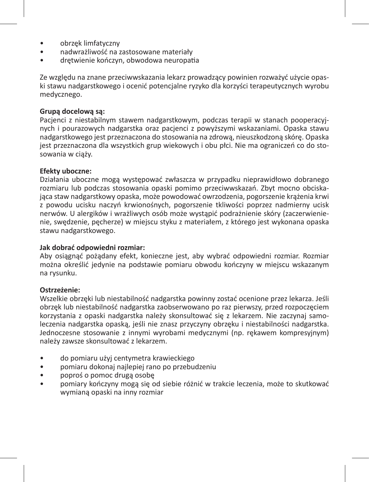- obrzęk limfatyczny
- nadwrażliwość na zastosowane materiały
- drętwienie kończyn, obwodowa neuropatia

Ze względu na znane przeciwwskazania lekarz prowadzący powinien rozważyć użycie opaski stawu nadgarstkowego i ocenić potencjalne ryzyko dla korzyści terapeutycznych wyrobu medycznego.

### **Grupą docelową są:**

Pacjenci z niestabilnym stawem nadgarstkowym, podczas terapii w stanach pooperacyjnych i pourazowych nadgarstka oraz pacjenci z powyższymi wskazaniami. Opaska stawu nadgarstkowego jest przeznaczona do stosowania na zdrową, nieuszkodzoną skórę. Opaska jest przeznaczona dla wszystkich grup wiekowych i obu płci. Nie ma ograniczeń co do stosowania w ciąży.

### **Efekty uboczne:**

Działania uboczne mogą występować zwłaszcza w przypadku nieprawidłowo dobranego rozmiaru lub podczas stosowania opaski pomimo przeciwwskazań. Zbyt mocno obciskająca staw nadgarstkowy opaska, może powodować owrzodzenia, pogorszenie krążenia krwi z powodu ucisku naczyń krwionośnych, pogorszenie tkliwości poprzez nadmierny ucisk nerwów. U alergików i wrażliwych osób może wystąpić podrażnienie skóry (zaczerwienienie, swędzenie, pęcherze) w miejscu styku z materiałem, z którego jest wykonana opaska stawu nadgarstkowego.

#### **Jak dobrać odpowiedni rozmiar:**

Aby osiągnąć pożądany efekt, konieczne jest, aby wybrać odpowiedni rozmiar. Rozmiar można określić jedynie na podstawie pomiaru obwodu kończyny w miejscu wskazanym na rysunku.

#### **Ostrzeżenie:**

Wszelkie obrzęki lub niestabilność nadgarstka powinny zostać ocenione przez lekarza. Jeśli obrzęk lub niestabilność nadgarstka zaobserwowano po raz pierwszy, przed rozpoczęciem korzystania z opaski nadgarstka należy skonsultować się z lekarzem. Nie zaczynaj samoleczenia nadgarstka opaską, jeśli nie znasz przyczyny obrzęku i niestabilności nadgarstka. Jednoczesne stosowanie z innymi wyrobami medycznymi (np. rękawem kompresyjnym) należy zawsze skonsultować z lekarzem.

- do pomiaru użyj centymetra krawieckiego
- pomiaru dokonaj najlepiej rano po przebudzeniu
- poproś o pomoc drugą osobę
- pomiary kończyny mogą się od siebie różnić w trakcie leczenia, może to skutkować wymianą opaski na inny rozmiar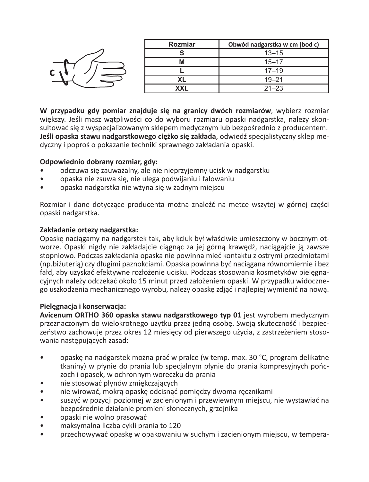|   | Rozmiar | Obwód nadgarstka w cm (bod c) |
|---|---------|-------------------------------|
|   |         | $13 - 15$                     |
|   | IVI     | $15 - 17$                     |
| С |         | $17 - 19$                     |
|   | ᄮ       | $19 - 21$                     |
|   | XXI     | $21 - 23$                     |

**W przypadku gdy pomiar znajduje się na granicy dwóch rozmiarów**, wybierz rozmiar większy. Jeśli masz watpliwości co do wyboru rozmiaru opaski nadgarstka, należy skonsultować się z wyspecjalizowanym sklepem medycznym lub bezpośrednio z producentem. **Jeśli opaska stawu nadgarstkowego ciężko się zakłada**, odwiedź specjalistyczny sklep medyczny i poproś o pokazanie techniki sprawnego zakładania opaski.

#### **Odpowiednio dobrany rozmiar, gdy:**

- odczuwa się zauważalny, ale nie nieprzyjemny ucisk w nadgarstku
- opaska nie zsuwa się, nie ulega podwijaniu i falowaniu
- opaska nadgarstka nie wżyna się w żadnym miejscu

Rozmiar i dane dotyczące producenta można znaleźć na metce wszytej w górnej części opaski nadgarstka.

#### **Zakładanie ortezy nadgarstka:**

Opaskę naciągamy na nadgarstek tak, aby kciuk był właściwie umieszczony w bocznym otworze. Opaski nigdy nie zakładajcie ciągnąc za jej górną krawędź, naciągajcie ją zawsze stopniowo. Podczas zakładania opaska nie powinna mieć kontaktu z ostrymi przedmiotami (np.biżuterią) czy długimi paznokciami. Opaska powinna być naciągana równomiernie i bez fałd, aby uzyskać efektywne rozłożenie ucisku. Podczas stosowania kosmetyków pielęgnacyjnych należy odczekać około 15 minut przed założeniem opaski. W przypadku widocznego uszkodzenia mechanicznego wyrobu, należy opaskę zdjąć i najlepiej wymienić na nową.

#### **Pielęgnacja i konserwacja:**

**Avicenum ORTHO 360 opaska stawu nadgarstkowego typ 01** jest wyrobem medycznym przeznaczonym do wielokrotnego użytku przez jedną osobę. Swoją skuteczność i bezpieczeństwo zachowuje przez okres 12 miesięcy od pierwszego użycia, z zastrzeżeniem stosowania następujących zasad:

- opaskę na nadgarstek można prać w pralce (w temp. max. 30 °C, program delikatne tkaniny) w płynie do prania lub specjalnym płynie do prania kompresyjnych pończoch i opasek, w ochronnym woreczku do prania
- nie stosować płynów zmiękczających
- nie wirować, mokrą opaskę odcisnąć pomiędzy dwoma ręcznikami
- suszyć w pozycji poziomej w zacienionym i przewiewnym miejscu, nie wystawiać na bezpośrednie działanie promieni słonecznych, grzejnika
- opaski nie wolno prasować
- maksymalna liczba cykli prania to 120
- przechowywać opaskę w opakowaniu w suchym i zacienionym miejscu, w tempera-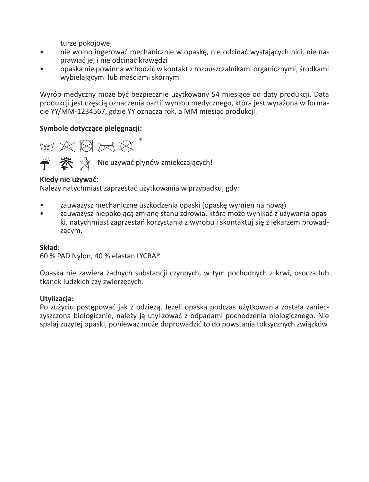turze pokojowej

- nie wolno ingerować mechanicznie w opaskę, nie odcinać wystających nici, nie naprawiać jej i nie odcinać krawędzi
- opaska nie powinna wchodzić w kontakt z rozpuszczalnikami organicznymi, środkami wybielającymi lub maściami skórnymi

Wyrób medyczny może być bezpiecznie użytkowany 54 miesiące od daty produkcji. Data produkcji jest częścią oznaczenia partii wyrobu medycznego, która jest wyrażona w formacie YY/MM-1234567, gdzie YY oznacza rok, a MM miesiąc produkcji.

### **Symbole dotyczące pielęgnacji:**



 $\mathbf{\mathcal{X}} \quad \mathbf{\Diamond}$  Nie używać płynów zmiękczających!

### **Kiedy nie używać:**

Należy natychmiast zaprzestać użytkowania w przypadku, gdy:

- zauważysz mechaniczne uszkodzenia opaski (opaskę wymień na nową)
- zauważysz niepokojącą zmianę stanu zdrowia, która może wynikać z używania opaski, natychmiast zaprzestań korzystania z wyrobu i skontaktuj się z lekarzem prowadzącym.

#### **Skład:**

60 % PAD Nylon, 40 % elastan LYCRA®

Opaska nie zawiera żadnych substancji czynnych, w tym pochodnych z krwi, osocza lub tkanek ludzkich czy zwierzęcych.

#### **Utylizacja:**

Po zużyciu postępować jak z odzieżą. Jeżeli opaska podczas użytkowania została zanieczyszczona biologicznie, należy ją utylizować z odpadami pochodzenia biologicznego. Nie spalaj zużytej opaski, ponieważ może doprowadzić to do powstania toksycznych związków.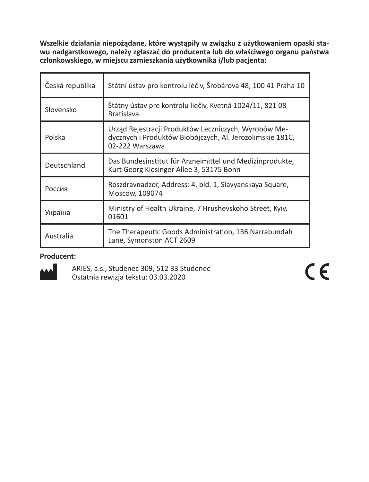**Wszelkie działania niepożądane, które wystąpiły w związku z użytkowaniem opaski stawu nadgarstkowego, należy zgłaszać do producenta lub do właściwego organu państwa członkowskiego, w miejscu zamieszkania użytkownika i/lub pacjenta:**

| Česká republika | Státní ústav pro kontrolu léčiv, Šrobárova 48, 100 41 Praha 10                                                                       |
|-----------------|--------------------------------------------------------------------------------------------------------------------------------------|
| Slovensko       | Štátny ústav pre kontrolu liečiv, Kvetná 1024/11, 821 08<br><b>Bratislava</b>                                                        |
| Polska          | Urząd Rejestracji Produktów Leczniczych, Wyrobów Me-<br>dycznych i Produktów Biobójczych, Al. Jerozolimskie 181C,<br>02-222 Warszawa |
| Deutschland     | Das Bundesinstitut für Arzneimittel und Medizinprodukte,<br>Kurt Georg Kiesinger Allee 3, 53175 Bonn                                 |
| Россия          | Roszdravnadzor, Address: 4, bld. 1, Slavyanskaya Square,<br>Moscow, 109074                                                           |
| Україна         | Ministry of Health Ukraine, 7 Hrushevskoho Street, Kyiv,<br>01601                                                                    |
| Australia       | The Therapeutic Goods Administration, 136 Narrabundah<br>Lane, Symonston ACT 2609                                                    |

# **Producent:**



ARIES, a.s., Studenec 309, 512 33 Studenec Ostatnia rewizja tekstu: 03.03.2020

 $C\epsilon$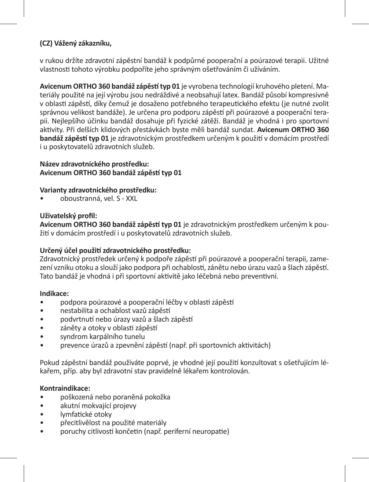# **(CZ) Vážený zákazníku,**

v rukou držíte zdravotní zápěstní bandáž k podpůrné pooperační a poúrazové terapii. Užitné vlastnosti tohoto výrobku podpoříte jeho správným ošetřováním či užíváním.

**Avicenum ORTHO 360 bandáž zápěstí typ 01** je vyrobena technologií kruhového pletení. Materiály použité na její výrobu jsou nedráždivé a neobsahují latex. Bandáž působí kompresivně v oblasti zápěstí, díky čemuž je dosaženo potřebného terapeutického efektu (je nutné zvolit správnou velikost bandáže). Je určena pro podporu zápěstí při poúrazové a pooperační terapii. Nejlepšího účinku bandáž dosahuje při fyzické zátěži. Bandáž je vhodná i pro sportovní aktivity. Při delších klidových přestávkách byste měli bandáž sundat. **Avicenum ORTHO 360 bandáž zápěstí typ 01** je zdravotnickým prostředkem určeným k použití v domácím prostředí i u poskytovatelů zdravotních služeb.

### **Název zdravotnického prostředku: Avicenum ORTHO 360 bandáž zápěstí typ 01**

# **Varianty zdravotnického prostředku:**

• oboustranná, vel. S - XXL

### **Uživatelský profil:**

**Avicenum ORTHO 360 bandáž zápěstí typ 01** je zdravotnickým prostředkem určeným k použití v domácím prostředí i u poskytovatelů zdravotních služeb.

# **Určený účel použití zdravotnického prostředku:**

Zdravotnický prostředek určený k podpoře zápěstí při poúrazové a pooperační terapii, zamezení vzniku otoku a slouží jako podpora při ochablosti, zánětu nebo úrazu vazů a šlach zápěstí. Tato bandáž je vhodná i při sportovní aktivitě jako léčebná nebo preventivní.

#### **Indikace:**

- podpora poúrazové a pooperační léčby v oblasti zápěstí
- nestabilita a ochablost vazů zápěstí
- podvrtnutí nebo úrazy vazů a šlach zápěstí
- záněty a otoky v oblasti zápěstí
- syndrom karpálního tunelu
- prevence úrazů a zpevnění zápěstí (např. při sportovních aktivitách)

Pokud zápěstní bandáž používáte poprvé, je vhodné její použití konzultovat s ošetřujícím lékařem, příp. aby byl zdravotní stav pravidelně lékařem kontrolován.

#### **Kontraindikace:**

- poškozená nebo poraněná pokožka
- akutní mokvající projevy
- lymfatické otoky
- přecitlivělost na použité materiály
- poruchy citlivosti končetin (např. periferní neuropatie)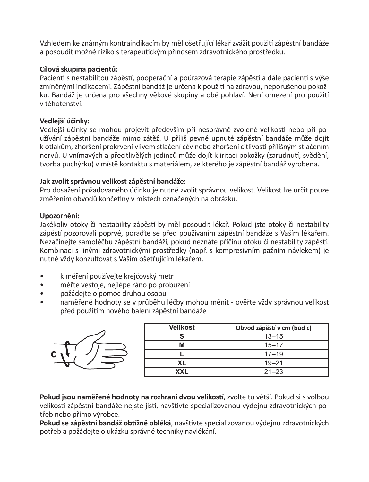Vzhledem ke známým kontraindikacím by měl ošetřující lékař zvážit použití zápěstní bandáže a posoudit možné riziko s terapeutickým přínosem zdravotnického prostředku.

# **Cílová skupina pacientů:**

Pacienti s nestabilitou zápěstí, pooperační a poúrazová terapie zápěstí a dále pacienti s výše zmíněnými indikacemi. Zápěstní bandáž je určena k použití na zdravou, neporušenou pokožku. Bandáž je určena pro všechny věkové skupiny a obě pohlaví. Není omezení pro použití v těhotenství.

# **Vedlejší účinky:**

Vedlejší účinky se mohou projevit především při nesprávně zvolené velikosti nebo při používání zápěstní bandáže mimo zátěž. U příliš pevně upnuté zápěstní bandáže může dojít k otlakům, zhoršení prokrvení vlivem stlačení cév nebo zhoršení citlivosti přílišným stlačením nervů. U vnímavých a přecitlivělých jedinců může dojít k iritaci pokožky (zarudnutí, svědění, tvorba puchýřků) v místě kontaktu s materiálem, ze kterého je zápěstní bandáž vyrobena.

# **Jak zvolit správnou velikost zápěstní bandáže:**

Pro dosažení požadovaného účinku je nutné zvolit správnou velikost. Velikost lze určit pouze změřením obvodů končetiny v místech označených na obrázku.

# **Upozornění:**

Jakékoliv otoky či nestability zápěstí by měl posoudit lékař. Pokud jste otoky či nestability zápěstí pozorovali poprvé, poraďte se před používáním zápěstní bandáže s Vaším lékařem. Nezačínejte samoléčbu zápěstní bandáží, pokud neznáte příčinu otoku či nestability zápěstí. Kombinaci s jinými zdravotnickými prostředky (např. s kompresivním pažním návlekem) je nutné vždy konzultovat s Vaším ošetřujícím lékařem.

- k měření používejte krejčovský metr
- měřte vestoje, nejlépe ráno po probuzení
- požádejte o pomoc druhou osobu
- naměřené hodnoty se v průběhu léčby mohou měnit ověřte vždy správnou velikost před použitím nového balení zápěstní bandáže

**Velikost Obvod zápěstí v cm (bod c) S** 13–15 **M** 15–17 **L** 17–19 **XL** 19–21 **XXL** 21–23

| п | Velikost | Oł |
|---|----------|----|
|   |          |    |
|   | M        |    |
|   |          |    |
|   | XL       |    |
|   | ^^'      |    |

**Pokud jsou naměřené hodnoty na rozhraní dvou velikostí**, zvolte tu větší. Pokud si s volbou velikosti zápěstní bandáže nejste jisti, navštivte specializovanou výdejnu zdravotnických potřeb nebo přímo výrobce.

**Pokud se zápěstní bandáž obtížně obléká**, navštivte specializovanou výdejnu zdravotnických potřeb a požádejte o ukázku správné techniky navlékání.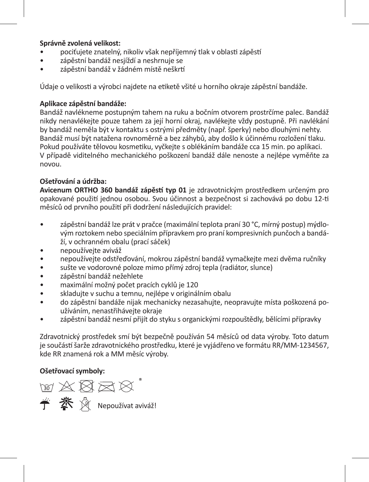# **Správně zvolená velikost:**

- pociťujete znatelný, nikoliv však nepříjemný tlak v oblasti zápěstí
- zápěstní bandáž nesjíždí a neshrnuje se
- zápěstní bandáž v žádném místě neškrtí

Údaje o velikosti a výrobci najdete na etiketě všité u horního okraje zápěstní bandáže.

# **Aplikace zápěstní bandáže:**

Bandáž navlékneme postupným tahem na ruku a bočním otvorem prostrčíme palec. Bandáž nikdy nenavlékejte pouze tahem za její horní okraj, navlékejte vždy postupně. Při navlékání by bandáž neměla být v kontaktu s ostrými předměty (např. šperky) nebo dlouhými nehty. Bandáž musí být natažena rovnoměrně a bez záhybů, aby došlo k účinnému rozložení tlaku. Pokud používáte tělovou kosmetiku, vyčkejte s oblékáním bandáže cca 15 min. po aplikaci. V případě viditelného mechanického poškození bandáž dále nenoste a nejlépe vyměňte za novou.

# **Ošetřování a údržba:**

**Avicenum ORTHO 360 bandáž zápěstí typ 01** je zdravotnickým prostředkem určeným pro opakované použití jednou osobou. Svou účinnost a bezpečnost si zachovává po dobu 12-ti měsíců od prvního použití při dodržení následujících pravidel:

- zápěstní bandáž lze prát v pračce (maximální teplota praní 30 °C, mírný postup) mýdlovým roztokem nebo speciálním přípravkem pro praní kompresivních punčoch a bandáží, v ochranném obalu (prací sáček)
- nepoužívejte aviváž
- nepoužívejte odstřeďování, mokrou zápěstní bandáž vymačkejte mezi dvěma ručníky
- sušte ve vodorovné poloze mimo přímý zdroj tepla (radiátor, slunce)
- zápěstní bandáž nežehlete
- maximální možný počet pracích cyklů je 120
- skladujte v suchu a temnu, nejlépe v originálním obalu
- do zápěstní bandáže nijak mechanicky nezasahujte, neopravujte místa poškozená používáním, nenastřihávejte okraje
- zápěstní bandáž nesmí přijít do styku s organickými rozpouštědly, bělícími přípravky

Zdravotnický prostředek smí být bezpečně používán 54 měsíců od data výroby. Toto datum je součástí šarže zdravotnického prostředku, které je vyjádřeno ve formátu RR/MM-1234567, kde RR znamená rok a MM měsíc výroby.

**Ošetřovací symboly:** 

Nepoužívat aviváž!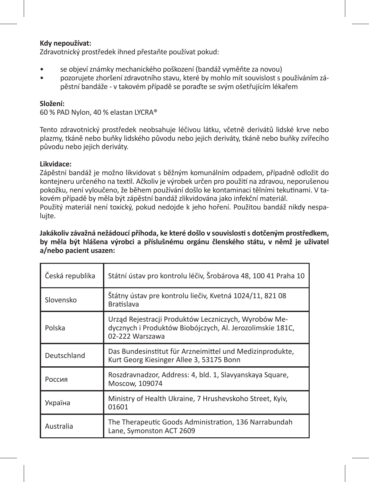#### **Kdy nepoužívat:**

Zdravotnický prostředek ihned přestaňte používat pokud:

- se objeví známky mechanického poškození (bandáž vyměňte za novou)
- pozorujete zhoršení zdravotního stavu, které by mohlo mít souvislost s používáním zápěstní bandáže - v takovém případě se poraďte se svým ošetřujícím lékařem

#### **Složení:**

60 % PAD Nylon, 40 % elastan LYCRA®

Tento zdravotnický prostředek neobsahuje léčivou látku, včetně derivátů lidské krve nebo plazmy, tkáně nebo buňky lidského původu nebo jejich deriváty, tkáně nebo buňky zvířecího původu nebo jejich deriváty.

#### **Likvidace:**

Zápěstní bandáž je možno likvidovat s běžným komunálním odpadem, případně odložit do kontejneru určeného na textil. Ačkoliv je výrobek určen pro použití na zdravou, neporušenou pokožku, není vyloučeno, že během používání došlo ke kontaminaci tělními tekutinami. V takovém případě by měla být zápěstní bandáž zlikvidována jako infekční materiál. Použitý materiál není toxický, pokud nedojde k jeho hoření. Použitou bandáž nikdy nespaluite.

**Jakákoliv závažná nežádoucí příhoda, ke které došlo v souvislosti s dotčeným prostředkem, by měla být hlášena výrobci a příslušnému orgánu členského státu, v němž je uživatel a/nebo pacient usazen:** 

| Česká republika | Státní ústav pro kontrolu léčiv, Šrobárova 48, 100 41 Praha 10                                                                       |
|-----------------|--------------------------------------------------------------------------------------------------------------------------------------|
| Slovensko       | Štátny ústav pre kontrolu liečiv, Kvetná 1024/11, 821 08<br><b>Bratislava</b>                                                        |
| Polska          | Urząd Rejestracji Produktów Leczniczych, Wyrobów Me-<br>dycznych i Produktów Biobójczych, Al. Jerozolimskie 181C,<br>02-222 Warszawa |
| Deutschland     | Das Bundesinstitut für Arzneimittel und Medizinprodukte,<br>Kurt Georg Kiesinger Allee 3, 53175 Bonn                                 |
| Россия          | Roszdravnadzor, Address: 4, bld. 1, Slavyanskaya Square,<br>Moscow, 109074                                                           |
| Україна         | Ministry of Health Ukraine, 7 Hrushevskoho Street, Kyiv,<br>01601                                                                    |
| Australia       | The Therapeutic Goods Administration, 136 Narrabundah<br>Lane, Symonston ACT 2609                                                    |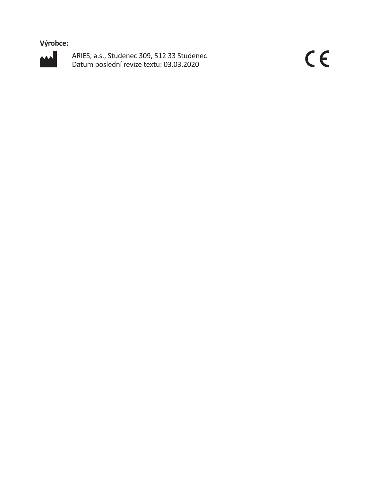**Výrobce:**



ARIES, a.s., Studenec 309, 512 33 Studenec Datum poslední revize textu: 03.03.2020

 $C \in$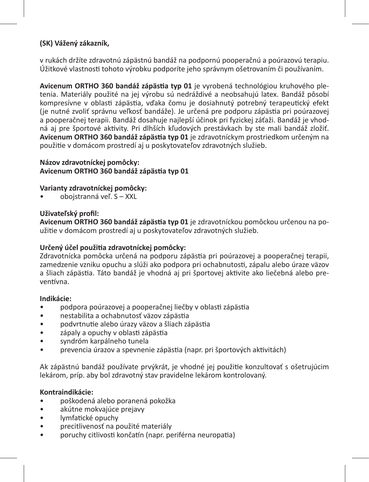# **(SK) Vážený zákazník,**

v rukách držíte zdravotnú zápästnú bandáž na podpornú pooperačnú a poúrazovú terapiu. Úžitkové vlastnosti tohoto výrobku podporíte jeho správnym ošetrovaním či používaním.

**Avicenum ORTHO 360 bandáž zápästia typ 01** je vyrobená technológiou kruhového pletenia. Materiály použité na jej výrobu sú nedráždivé a neobsahujú latex. Bandáž pôsobí kompresívne v oblasti zápästia, vďaka čomu je dosiahnutý potrebný terapeutický efekt (je nutné zvoliť správnu veľkosť bandáže). Je určená pre podporu zápästia pri poúrazovej a pooperačnej terapii. Bandáž dosahuje najlepší účinok pri fyzickej záťaži. Bandáž je vhodná aj pre športové aktivity. Pri dlhších kľudových prestávkach by ste mali bandáž zložiť. **Avicenum ORTHO 360 bandáž zápästia typ 01** je zdravotníckym prostriedkom určeným na použitie v domácom prostredí aj u poskytovateľov zdravotných služieb.

# **Názov zdravotníckej pomôcky: Avicenum ORTHO 360 bandáž zápästia typ 01**

# **Varianty zdravotníckej pomôcky:**

• obojstranná veľ. S – XXL

# **Uživateľský profil:**

**Avicenum ORTHO 360 bandáž zápästia typ 01** je zdravotníckou pomôckou určenou na použitie v domácom prostredí aj u poskytovateľov zdravotných služieb.

# **Určený účel použitia zdravotníckej pomôcky:**

Zdravotnícka pomôcka určená na podporu zápästia pri poúrazovej a pooperačnej terapii, zamedzenie vzniku opuchu a slúži ako podpora pri ochabnutosti, zápalu alebo úraze väzov a šliach zápästia. Táto bandáž je vhodná aj pri športovej aktivite ako liečebná alebo preventívna.

# **Indikácie:**

- podpora poúrazovej a pooperačnej liečby v oblasti zápästia
- nestabilita a ochabnutosť väzov zápästia
- podvrtnutie alebo úrazy väzov a šliach zápästia
- zápaly a opuchy v oblasti zápästia
- syndróm karpálneho tunela
- prevencia úrazov a spevnenie zápästia (napr. pri športových aktivitách)

Ak zápästnú bandáž používate prvýkrát, je vhodné jej použitie konzultovať s ošetrujúcim lekárom, príp. aby bol zdravotný stav pravidelne lekárom kontrolovaný.

# **Kontraindikácie:**

- poškodená alebo poranená pokožka
- akútne mokvajúce prejavy
- lymfatické opuchy
- precitlivenosť na použité materiály
- poruchy citlivosti končatín (napr. periférna neuropatia)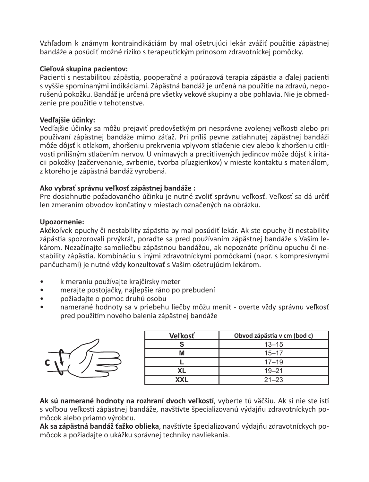Vzhľadom k známym kontraindikáciám by mal ošetrujúci lekár zvážiť použitie zápästnej bandáže a posúdiť možné riziko s terapeutickým prínosom zdravotníckej pomôcky.

# **Cieľová skupina pacientov:**

Pacienti s nestabilitou zápästia, pooperačná a poúrazová terapia zápästia a ďalej pacienti s vyššie spomínanými indikáciami. Zápästná bandáž je určená na použitie na zdravú, neporušenú pokožku. Bandáž je určená pre všetky vekové skupiny a obe pohlavia. Nie je obmedzenie pre použitie v tehotenstve.

### **Vedľajšie účinky:**

Vedľajšie účinky sa môžu prejaviť predovšetkým pri nesprávne zvolenej veľkosti alebo pri používaní zápästnej bandáže mimo záťaž. Pri príliš pevne zatiahnutej zápästnej bandáži môže dôjsť k otlakom, zhoršeniu prekrvenia vplyvom stlačenie ciev alebo k zhoršeniu citlivosti prílišným stlačením nervov. U vnímavých a precitlivených jedincov môže dôjsť k iritácii pokožky (začervenanie, svrbenie, tvorba pľuzgierikov) v mieste kontaktu s materiálom, z ktorého je zápästná bandáž vyrobená.

# **Ako vybrať správnu veľkosť zápästnej bandáže :**

Pre dosiahnutie požadovaného účinku je nutné zvoliť správnu veľkosť. Veľkosť sa dá určiť len zmeraním obvodov končatiny v miestach označených na obrázku.

### **Upozornenie:**

Akékoľvek opuchy či nestability zápästia by mal posúdiť lekár. Ak ste opuchy či nestability zápästia spozorovali prvýkrát, poraďte sa pred používaním zápästnej bandáže s Vašim lekárom. Nezačínajte samoliečbu zápästnou bandážou, ak nepoznáte príčinu opuchu či nestability zápästia. Kombináciu s inými zdravotníckymi pomôckami (napr. s kompresívnymi pančuchami) je nutné vždy konzultovať s Vašim ošetrujúcim lekárom.

- k meraniu používajte krajčírsky meter
- merajte postojačky, najlepšie ráno po prebudení
- požiadajte o pomoc druhú osobu
- namerané hodnoty sa v priebehu liečby môžu meniť overte vždy správnu veľkosť pred použitím nového balenia zápästnej bandáže



| <b>Veľkosť</b> | Obvod zápästia v cm (bod c) |
|----------------|-----------------------------|
|                | $13 - 15$                   |
| М              | $15 - 17$                   |
|                | $17 - 19$                   |
| XL             | $19 - 21$                   |
| xхı            | $21 - 23$                   |

**Ak sú namerané hodnoty na rozhraní dvoch veľkostí**, vyberte tú väčšiu. Ak si nie ste istí s voľbou veľkosti zápästnej bandáže, navštívte špecializovanú výdajňu zdravotníckych pomôcok alebo priamo výrobcu.

**Ak sa zápästná bandáž ťažko oblieka**, navštívte špecializovanú výdajňu zdravotníckych pomôcok a požiadajte o ukážku správnej techniky navliekania.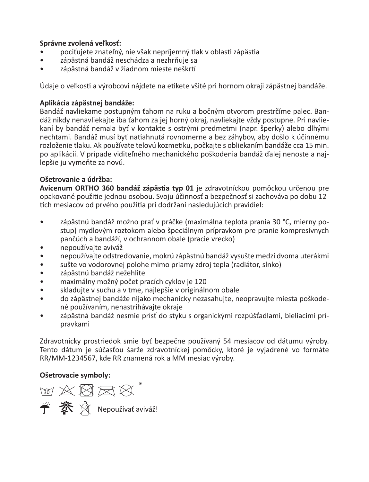# **Správne zvolená veľkosť:**

- pociťujete znateľný, nie však nepríjemný tlak v oblasti zápästia
- zápästná bandáž neschádza a nezhrňuje sa
- zápästná bandáž v žiadnom mieste neškrtí

Údaje o veľkosti a výrobcovi nájdete na etikete všité pri hornom okraji zápästnej bandáže.

# **Aplikácia zápästnej bandáže:**

Bandáž navliekame postupným ťahom na ruku a bočným otvorom prestrčíme palec. Bandáž nikdy nenavliekajte iba ťahom za jej horný okraj, navliekajte vždy postupne. Pri navliekaní by bandáž nemala byť v kontakte s ostrými predmetmi (napr. šperky) alebo dlhými nechtami. Bandáž musí byť natiahnutá rovnomerne a bez záhybov, aby došlo k účinnému rozloženie tlaku. Ak používate telovú kozmetiku, počkajte s obliekaním bandáže cca 15 min. po aplikácii. V prípade viditeľného mechanického poškodenia bandáž ďalej nenoste a najlepšie ju vymeňte za novú.

# **Ošetrovanie a údržba:**

**Avicenum ORTHO 360 bandáž zápästia typ 01** je zdravotníckou pomôckou určenou pre opakované použitie jednou osobou. Svoju účinnosť a bezpečnosť si zachováva po dobu 12 tich mesiacov od prvého použitia pri dodržaní nasledujúcich pravidiel:

- zápästnú bandáž možno prať v práčke (maximálna teplota prania 30 °C, mierny postup) mydlovým roztokom alebo špeciálnym prípravkom pre pranie kompresívnych pančúch a bandáží, v ochrannom obale (pracie vrecko)
- nepoužívajte aviváž
- nepoužívajte odstreďovanie, mokrú zápästnú bandáž vysušte medzi dvoma uterákmi
- sušte vo vodorovnej polohe mimo priamy zdroj tepla (radiátor, slnko)
- zápästnú bandáž nežehlite
- maximálny možný počet pracích cyklov je 120
- skladujte v suchu a v tme, najlepšie v originálnom obale
- do zápästnej bandáže nijako mechanicky nezasahujte, neopravujte miesta poškodené používaním, nenastrihávajte okraje
- zápästná bandáž nesmie prísť do styku s organickými rozpúšťadlami, bieliacimi prípravkami

Zdravotnícky prostriedok smie byť bezpečne používaný 54 mesiacov od dátumu výroby. Tento dátum je súčasťou šarže zdravotníckej pomôcky, ktoré je vyjadrené vo formáte RR/MM-1234567, kde RR znamená rok a MM mesiac výroby.

# **Ošetrovacie symboly:**

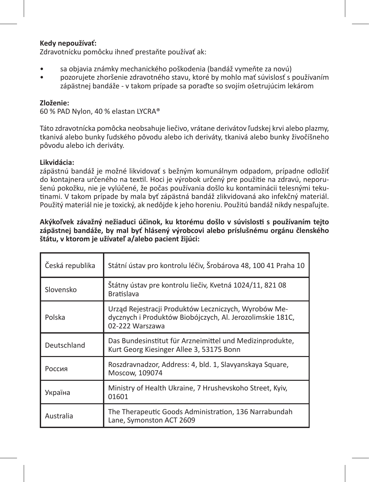### **Kedy nepoužívať:**

Zdravotnícku pomôcku ihneď prestaňte používať ak:

- sa objavia známky mechanického poškodenia (bandáž vymeňte za novú)
- pozorujete zhoršenie zdravotného stavu, ktoré by mohlo mať súvislosť s používaním zápästnej bandáže - v takom prípade sa poraďte so svojím ošetrujúcim lekárom

#### **Zloženie:**

60 % PAD Nylon, 40 % elastan LYCRA®

Táto zdravotnícka pomôcka neobsahuje liečivo, vrátane derivátov ľudskej krvi alebo plazmy, tkanivá alebo bunky ľudského pôvodu alebo ich deriváty, tkanivá alebo bunky živočíšneho pôvodu alebo ich deriváty.

#### **Likvidácia:**

zápästnú bandáž je možné likvidovať s bežným komunálnym odpadom, prípadne odložiť do kontajnera určeného na textil. Hoci je výrobok určený pre použitie na zdravú, neporušenú pokožku, nie je vylúčené, že počas používania došlo ku kontaminácii telesnými tekutinami. V takom prípade by mala byť zápästná bandáž zlikvidovaná ako infekčný materiál. Použitý materiál nie je toxický, ak nedôjde k jeho horeniu. Použitú bandáž nikdy nespaľujte.

#### **Akýkoľvek závažný nežiaduci účinok, ku ktorému došlo v súvislosti s používaním tejto zápästnej bandáže, by mal byť hlásený výrobcovi alebo príslušnému orgánu členského štátu, v ktorom je užívateľ a/alebo pacient žijúci:**

| Česká republika | Státní ústav pro kontrolu léčiv, Šrobárova 48, 100 41 Praha 10                                                                       |
|-----------------|--------------------------------------------------------------------------------------------------------------------------------------|
| Slovensko       | Štátny ústav pre kontrolu liečiv, Kvetná 1024/11, 821 08<br><b>Bratislava</b>                                                        |
| Polska          | Urząd Rejestracji Produktów Leczniczych, Wyrobów Me-<br>dycznych i Produktów Biobójczych, Al. Jerozolimskie 181C,<br>02-222 Warszawa |
| Deutschland     | Das Bundesinstitut für Arzneimittel und Medizinprodukte,<br>Kurt Georg Kiesinger Allee 3, 53175 Bonn                                 |
| Россия          | Roszdravnadzor, Address: 4, bld. 1, Slavyanskaya Square,<br>Moscow, 109074                                                           |
| Україна         | Ministry of Health Ukraine, 7 Hrushevskoho Street, Kyiv,<br>01601                                                                    |
| Australia       | The Therapeutic Goods Administration, 136 Narrabundah<br>Lane, Symonston ACT 2609                                                    |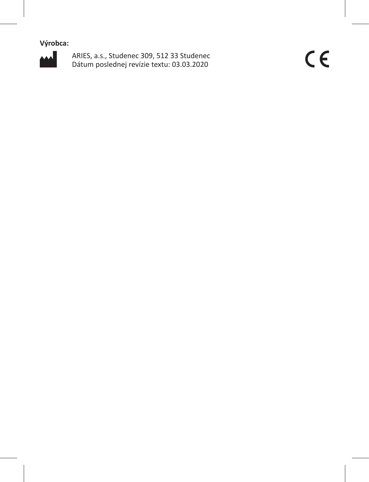**Výrobca:**



ARIES, a.s., Studenec 309, 512 33 Studenec Dátum poslednej revízie textu: 03.03.2020

 $C \in$